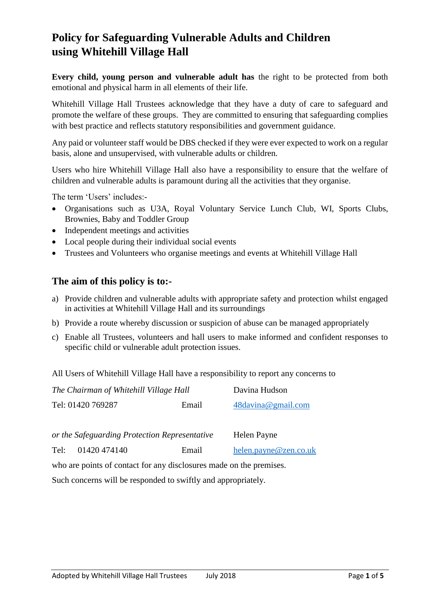# **Policy for Safeguarding Vulnerable Adults and Children using Whitehill Village Hall**

**Every child, young person and vulnerable adult has** the right to be protected from both emotional and physical harm in all elements of their life.

Whitehill Village Hall Trustees acknowledge that they have a duty of care to safeguard and promote the welfare of these groups. They are committed to ensuring that safeguarding complies with best practice and reflects statutory responsibilities and government guidance.

Any paid or volunteer staff would be DBS checked if they were ever expected to work on a regular basis, alone and unsupervised, with vulnerable adults or children.

Users who hire Whitehill Village Hall also have a responsibility to ensure that the welfare of children and vulnerable adults is paramount during all the activities that they organise.

The term 'Users' includes:-

- Organisations such as U3A, Royal Voluntary Service Lunch Club, WI, Sports Clubs, Brownies, Baby and Toddler Group
- Independent meetings and activities
- Local people during their individual social events
- Trustees and Volunteers who organise meetings and events at Whitehill Village Hall

## **The aim of this policy is to:-**

- a) Provide children and vulnerable adults with appropriate safety and protection whilst engaged in activities at Whitehill Village Hall and its surroundings
- b) Provide a route whereby discussion or suspicion of abuse can be managed appropriately
- c) Enable all Trustees, volunteers and hall users to make informed and confident responses to specific child or vulnerable adult protection issues.

All Users of Whitehill Village Hall have a responsibility to report any concerns to

| The Chairman of Whitehill Village Hall |       | Davina Hudson         |  |
|----------------------------------------|-------|-----------------------|--|
| Tel: 01420 769287                      | Email | $48$ davina@gmail.com |  |

| or the Safeguarding Protection Representative |              |       | Helen Payne           |  |
|-----------------------------------------------|--------------|-------|-----------------------|--|
| Tel:                                          | 01420 474140 | Email | helen.payne@zen.co.uk |  |

who are points of contact for any disclosures made on the premises.

Such concerns will be responded to swiftly and appropriately.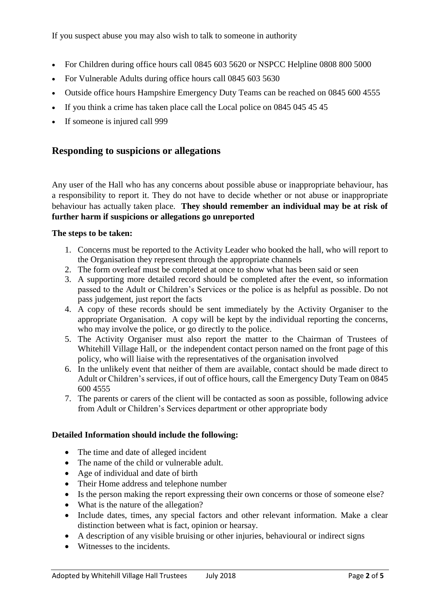If you suspect abuse you may also wish to talk to someone in authority

- For Children during office hours call 0845 603 5620 or NSPCC Helpline 0808 800 5000
- For Vulnerable Adults during office hours call 0845 603 5630
- Outside office hours Hampshire Emergency Duty Teams can be reached on 0845 600 4555
- If you think a crime has taken place call the Local police on 0845 045 45 45
- If someone is injured call 999

## **Responding to suspicions or allegations**

Any user of the Hall who has any concerns about possible abuse or inappropriate behaviour, has a responsibility to report it. They do not have to decide whether or not abuse or inappropriate behaviour has actually taken place. **They should remember an individual may be at risk of further harm if suspicions or allegations go unreported**

#### **The steps to be taken:**

- 1. Concerns must be reported to the Activity Leader who booked the hall, who will report to the Organisation they represent through the appropriate channels
- 2. The form overleaf must be completed at once to show what has been said or seen
- 3. A supporting more detailed record should be completed after the event, so information passed to the Adult or Children's Services or the police is as helpful as possible. Do not pass judgement, just report the facts
- 4. A copy of these records should be sent immediately by the Activity Organiser to the appropriate Organisation. A copy will be kept by the individual reporting the concerns, who may involve the police, or go directly to the police.
- 5. The Activity Organiser must also report the matter to the Chairman of Trustees of Whitehill Village Hall, or the independent contact person named on the front page of this policy, who will liaise with the representatives of the organisation involved
- 6. In the unlikely event that neither of them are available, contact should be made direct to Adult or Children's services, if out of office hours, call the Emergency Duty Team on 0845 600 4555
- 7. The parents or carers of the client will be contacted as soon as possible, following advice from Adult or Children's Services department or other appropriate body

#### **Detailed Information should include the following:**

- The time and date of alleged incident
- The name of the child or vulnerable adult.
- Age of individual and date of birth
- Their Home address and telephone number
- Is the person making the report expressing their own concerns or those of someone else?
- What is the nature of the allegation?
- Include dates, times, any special factors and other relevant information. Make a clear distinction between what is fact, opinion or hearsay.
- A description of any visible bruising or other injuries, behavioural or indirect signs
- Witnesses to the incidents.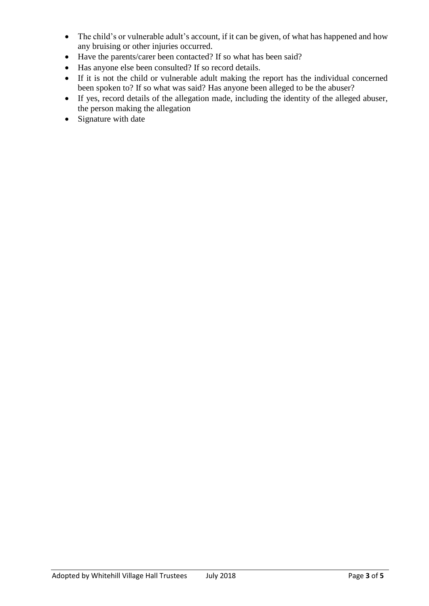- The child's or vulnerable adult's account, if it can be given, of what has happened and how any bruising or other injuries occurred.
- Have the parents/carer been contacted? If so what has been said?
- Has anyone else been consulted? If so record details.
- If it is not the child or vulnerable adult making the report has the individual concerned been spoken to? If so what was said? Has anyone been alleged to be the abuser?
- If yes, record details of the allegation made, including the identity of the alleged abuser, the person making the allegation
- Signature with date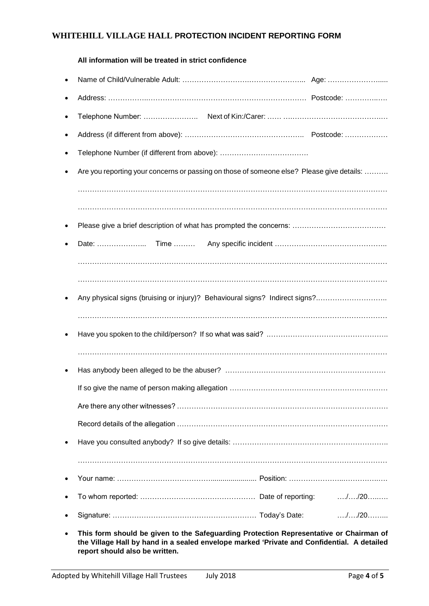#### **WHITEHILL VILLAGE HALL PROTECTION INCIDENT REPORTING FORM**

| All information will be treated in strict confidence                                      |  |             |
|-------------------------------------------------------------------------------------------|--|-------------|
|                                                                                           |  |             |
|                                                                                           |  |             |
|                                                                                           |  |             |
|                                                                                           |  |             |
|                                                                                           |  |             |
| Are you reporting your concerns or passing on those of someone else? Please give details: |  |             |
|                                                                                           |  |             |
|                                                                                           |  |             |
|                                                                                           |  |             |
| Date:                                                                                     |  |             |
|                                                                                           |  |             |
|                                                                                           |  |             |
| Any physical signs (bruising or injury)? Behavioural signs? Indirect signs?               |  |             |
|                                                                                           |  |             |
|                                                                                           |  |             |
|                                                                                           |  |             |
|                                                                                           |  |             |
|                                                                                           |  |             |
|                                                                                           |  |             |
|                                                                                           |  |             |
|                                                                                           |  |             |
|                                                                                           |  |             |
|                                                                                           |  |             |
|                                                                                           |  |             |
|                                                                                           |  | $\dots$ /20 |

• **This form should be given to the Safeguarding Protection Representative or Chairman of the Village Hall by hand in a sealed envelope marked 'Private and Confidential. A detailed report should also be written.**